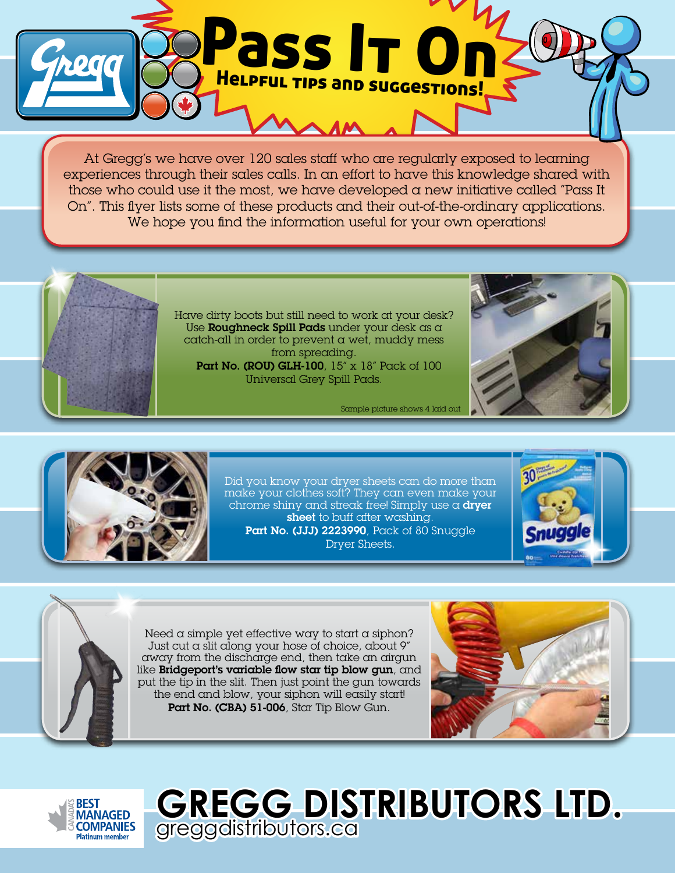

At Gregg's we have over 120 sales staff who are regularly exposed to learning experiences through their sales calls. In an effort to have this knowledge shared with those who could use it the most, we have developed a new initiative called "Pass It On". This flyer lists some of these products and their out-of-the-ordinary applications. We hope you find the information useful for your own operations!



Have dirty boots but still need to work at your desk? Use Roughneck Spill Pads under your desk as a catch-all in order to prevent a wet, muddy mess from spreading. Part No. (ROU) GLH-100, 15" x 18" Pack of 100 Universal Grey Spill Pads.

Sample picture shows 4 laid out





Did you know your dryer sheets can do more than make your clothes soft? They can even make your chrome shiny and streak free! Simply use  $\alpha$  dryer sheet to buff after washing. Part No. (JJJ) 2223990, Pack of 80 Snuggle Dryer Sheets.





Need  $\alpha$  simple yet effective way to start  $\alpha$  siphon? Just cut  $\alpha$  slit along your hose of choice, about 9" away from the discharge end, then take an airgun like Bridgeport's variable flow star tip blow gun, and put the tip in the slit. Then just point the gun towards the end and blow, your siphon will easily start! Part No. (CBA) 51-006, Star Tip Blow Gun.





**GREGG DISTRIBUTORS LTD.**  greggdistributors.ca